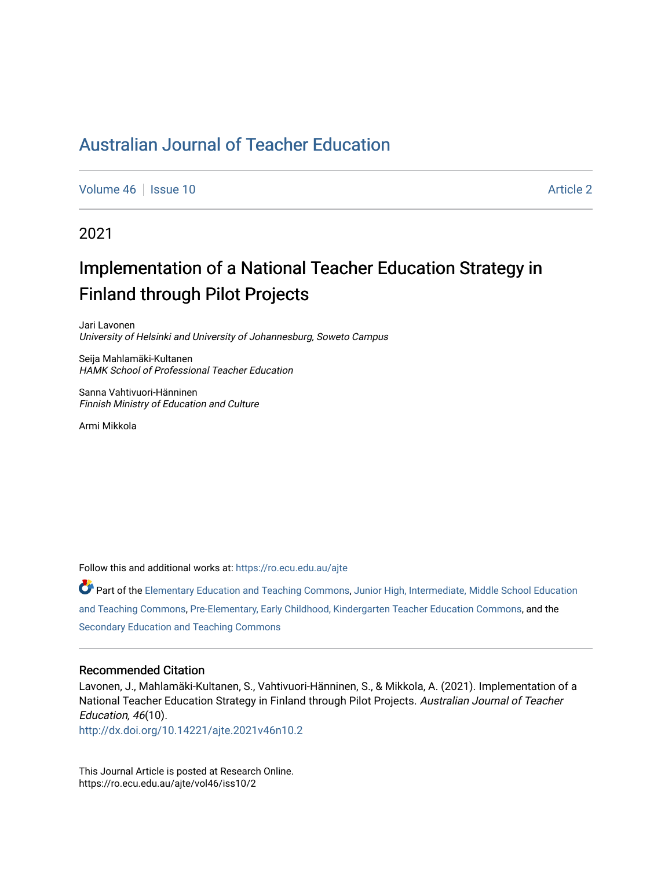## [Australian Journal of Teacher Education](https://ro.ecu.edu.au/ajte)

[Volume 46](https://ro.ecu.edu.au/ajte/vol46) September 20 Article 2

## 2021

# Implementation of a National Teacher Education Strategy in Finland through Pilot Projects

Jari Lavonen University of Helsinki and University of Johannesburg, Soweto Campus

Seija Mahlamäki-Kultanen HAMK School of Professional Teacher Education

Sanna Vahtivuori-Hänninen Finnish Ministry of Education and Culture

Armi Mikkola

Follow this and additional works at: [https://ro.ecu.edu.au/ajte](https://ro.ecu.edu.au/ajte?utm_source=ro.ecu.edu.au%2Fajte%2Fvol46%2Fiss10%2F2&utm_medium=PDF&utm_campaign=PDFCoverPages) 

Part of the [Elementary Education and Teaching Commons,](http://network.bepress.com/hgg/discipline/805?utm_source=ro.ecu.edu.au%2Fajte%2Fvol46%2Fiss10%2F2&utm_medium=PDF&utm_campaign=PDFCoverPages) [Junior High, Intermediate, Middle School Education](http://network.bepress.com/hgg/discipline/807?utm_source=ro.ecu.edu.au%2Fajte%2Fvol46%2Fiss10%2F2&utm_medium=PDF&utm_campaign=PDFCoverPages) [and Teaching Commons](http://network.bepress.com/hgg/discipline/807?utm_source=ro.ecu.edu.au%2Fajte%2Fvol46%2Fiss10%2F2&utm_medium=PDF&utm_campaign=PDFCoverPages), [Pre-Elementary, Early Childhood, Kindergarten Teacher Education Commons,](http://network.bepress.com/hgg/discipline/808?utm_source=ro.ecu.edu.au%2Fajte%2Fvol46%2Fiss10%2F2&utm_medium=PDF&utm_campaign=PDFCoverPages) and the [Secondary Education and Teaching Commons](http://network.bepress.com/hgg/discipline/809?utm_source=ro.ecu.edu.au%2Fajte%2Fvol46%2Fiss10%2F2&utm_medium=PDF&utm_campaign=PDFCoverPages) 

#### Recommended Citation

Lavonen, J., Mahlamäki-Kultanen, S., Vahtivuori-Hänninen, S., & Mikkola, A. (2021). Implementation of a National Teacher Education Strategy in Finland through Pilot Projects. Australian Journal of Teacher Education, 46(10).

<http://dx.doi.org/10.14221/ajte.2021v46n10.2>

This Journal Article is posted at Research Online. https://ro.ecu.edu.au/ajte/vol46/iss10/2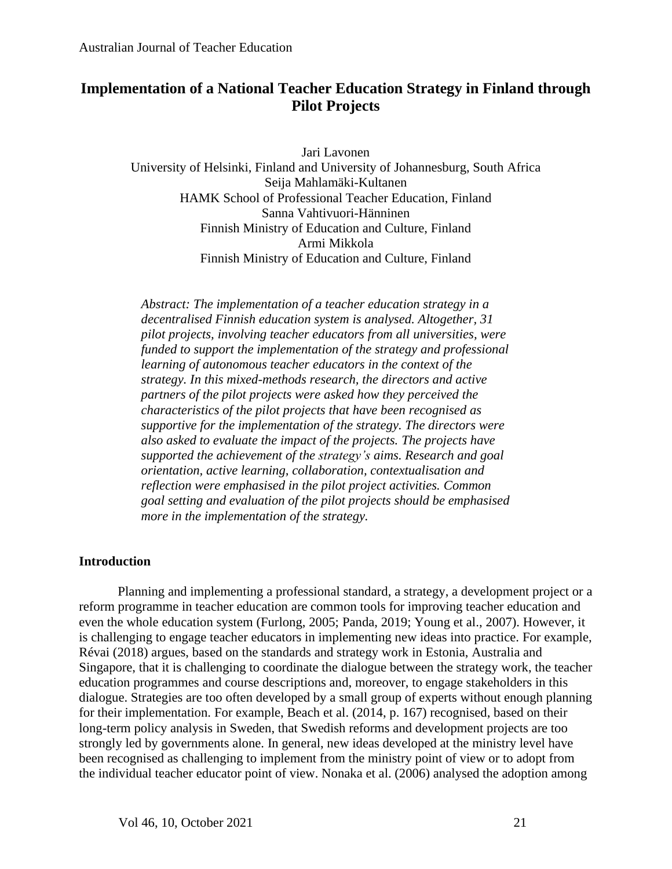## **Implementation of a National Teacher Education Strategy in Finland through Pilot Projects**

Jari Lavonen University of Helsinki, Finland and University of Johannesburg, South Africa Seija Mahlamäki-Kultanen HAMK School of Professional Teacher Education, Finland Sanna Vahtivuori-Hänninen Finnish Ministry of Education and Culture, Finland Armi Mikkola Finnish Ministry of Education and Culture, Finland

*Abstract: The implementation of a teacher education strategy in a decentralised Finnish education system is analysed. Altogether, 31 pilot projects, involving teacher educators from all universities, were funded to support the implementation of the strategy and professional learning of autonomous teacher educators in the context of the strategy. In this mixed-methods research, the directors and active partners of the pilot projects were asked how they perceived the characteristics of the pilot projects that have been recognised as supportive for the implementation of the strategy. The directors were also asked to evaluate the impact of the projects. The projects have supported the achievement of the strategy's aims. Research and goal orientation, active learning, collaboration, contextualisation and reflection were emphasised in the pilot project activities. Common goal setting and evaluation of the pilot projects should be emphasised more in the implementation of the strategy.*

## **Introduction**

Planning and implementing a professional standard, a strategy, a development project or a reform programme in teacher education are common tools for improving teacher education and even the whole education system (Furlong, 2005; Panda, 2019; Young et al., 2007). However, it is challenging to engage teacher educators in implementing new ideas into practice. For example, Révai (2018) argues, based on the standards and strategy work in Estonia, Australia and Singapore, that it is challenging to coordinate the dialogue between the strategy work, the teacher education programmes and course descriptions and, moreover, to engage stakeholders in this dialogue. Strategies are too often developed by a small group of experts without enough planning for their implementation. For example, Beach et al. (2014, p. 167) recognised, based on their long-term policy analysis in Sweden, that Swedish reforms and development projects are too strongly led by governments alone. In general, new ideas developed at the ministry level have been recognised as challenging to implement from the ministry point of view or to adopt from the individual teacher educator point of view. Nonaka et al. (2006) analysed the adoption among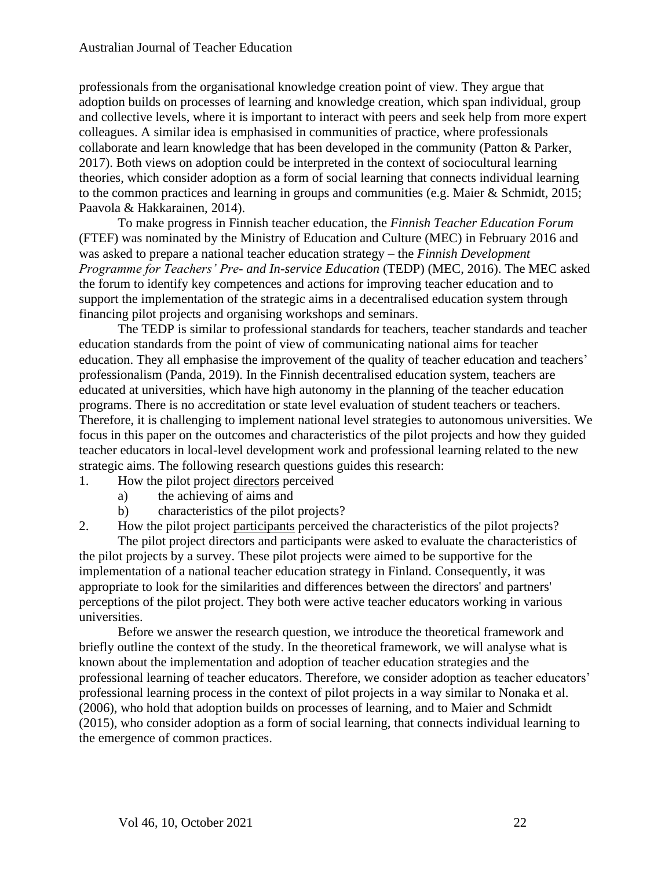professionals from the organisational knowledge creation point of view. They argue that adoption builds on processes of learning and knowledge creation, which span individual, group and collective levels, where it is important to interact with peers and seek help from more expert colleagues. A similar idea is emphasised in communities of practice, where professionals collaborate and learn knowledge that has been developed in the community (Patton & Parker, 2017). Both views on adoption could be interpreted in the context of sociocultural learning theories, which consider adoption as a form of social learning that connects individual learning to the common practices and learning in groups and communities (e.g. Maier & Schmidt, 2015; Paavola & Hakkarainen, 2014).

To make progress in Finnish teacher education, the *Finnish Teacher Education Forum*  (FTEF) was nominated by the Ministry of Education and Culture (MEC) in February 2016 and was asked to prepare a national teacher education strategy – the *Finnish Development Programme for Teachers' Pre- and In-service Education* (TEDP) (MEC, 2016). The MEC asked the forum to identify key competences and actions for improving teacher education and to support the implementation of the strategic aims in a decentralised education system through financing pilot projects and organising workshops and seminars.

The TEDP is similar to professional standards for teachers, teacher standards and teacher education standards from the point of view of communicating national aims for teacher education. They all emphasise the improvement of the quality of teacher education and teachers' professionalism (Panda, 2019). In the Finnish decentralised education system, teachers are educated at universities, which have high autonomy in the planning of the teacher education programs. There is no accreditation or state level evaluation of student teachers or teachers. Therefore, it is challenging to implement national level strategies to autonomous universities. We focus in this paper on the outcomes and characteristics of the pilot projects and how they guided teacher educators in local-level development work and professional learning related to the new strategic aims. The following research questions guides this research:

- 1. How the pilot project directors perceived
	- a) the achieving of aims and
	- b) characteristics of the pilot projects?

2. How the pilot project participants perceived the characteristics of the pilot projects? The pilot project directors and participants were asked to evaluate the characteristics of the pilot projects by a survey. These pilot projects were aimed to be supportive for the implementation of a national teacher education strategy in Finland. Consequently, it was appropriate to look for the similarities and differences between the directors' and partners' perceptions of the pilot project. They both were active teacher educators working in various universities.

Before we answer the research question, we introduce the theoretical framework and briefly outline the context of the study. In the theoretical framework, we will analyse what is known about the implementation and adoption of teacher education strategies and the professional learning of teacher educators. Therefore, we consider adoption as teacher educators' professional learning process in the context of pilot projects in a way similar to Nonaka et al. (2006), who hold that adoption builds on processes of learning, and to Maier and Schmidt (2015), who consider adoption as a form of social learning, that connects individual learning to the emergence of common practices.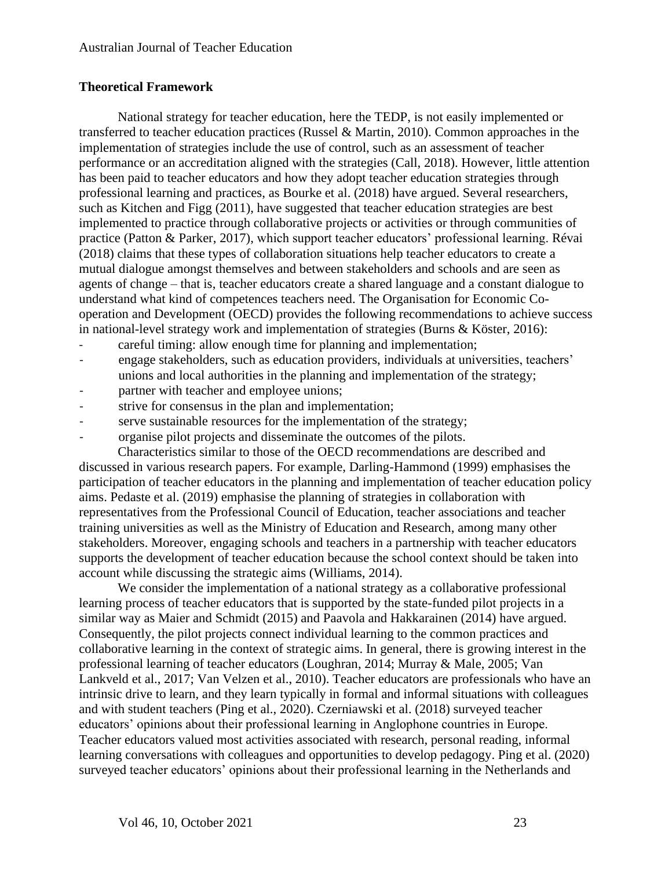## **Theoretical Framework**

National strategy for teacher education, here the TEDP, is not easily implemented or transferred to teacher education practices (Russel & Martin, 2010). Common approaches in the implementation of strategies include the use of control, such as an assessment of teacher performance or an accreditation aligned with the strategies (Call, 2018). However, little attention has been paid to teacher educators and how they adopt teacher education strategies through professional learning and practices, as Bourke et al. (2018) have argued. Several researchers, such as Kitchen and Figg (2011), have suggested that teacher education strategies are best implemented to practice through collaborative projects or activities or through communities of practice (Patton & Parker, 2017), which support teacher educators' professional learning. Révai [\(2018\)](https://onlinelibrary.wiley.com/doi/full/10.1111/ejed.12346#ejed12346-bib-0013) claims that these types of collaboration situations help teacher educators to create a mutual dialogue amongst themselves and between stakeholders and schools and are seen as agents of change – that is, teacher educators create a shared language and a constant dialogue to understand what kind of competences teachers need. The Organisation for Economic Cooperation and Development (OECD) provides the following recommendations to achieve success in national-level strategy work and implementation of strategies (Burns & Köster, 2016):

- careful timing: allow enough time for planning and implementation;
- engage stakeholders, such as education providers, individuals at universities, teachers' unions and local authorities in the planning and implementation of the strategy;
- partner with teacher and employee unions;
- strive for consensus in the plan and implementation;
- serve sustainable resources for the implementation of the strategy;
- organise pilot projects and disseminate the outcomes of the pilots.

Characteristics similar to those of the OECD recommendations are described and discussed in various research papers. For example, Darling-Hammond (1999) emphasises the participation of teacher educators in the planning and implementation of teacher education policy aims. Pedaste et al. (2019) emphasise the planning of strategies in collaboration with representatives from the Professional Council of Education, teacher associations and teacher training universities as well as the Ministry of Education and Research, among many other stakeholders. Moreover, engaging schools and teachers in a partnership with teacher educators supports the development of teacher education because the school context should be taken into account while discussing the strategic aims (Williams, 2014).

We consider the implementation of a national strategy as a collaborative professional learning process of teacher educators that is supported by the state-funded pilot projects in a similar way as Maier and Schmidt (2015) and Paavola and Hakkarainen (2014) have argued. Consequently, the pilot projects connect individual learning to the common practices and collaborative learning in the context of strategic aims. In general, there is growing interest in the professional learning of teacher educators (Loughran, 2014; Murray & Male, 2005; Van Lankveld et al., 2017; Van Velzen et al., 2010). Teacher educators are professionals who have an intrinsic drive to learn, and they learn typically in formal and informal situations with colleagues and with student teachers (Ping et al., 2020). Czerniawski et al. (2018) surveyed teacher educators' opinions about their professional learning in Anglophone countries in Europe. Teacher educators valued most activities associated with research, personal reading, informal learning conversations with colleagues and opportunities to develop pedagogy. Ping et al. (2020) surveyed teacher educators' opinions about their professional learning in the Netherlands and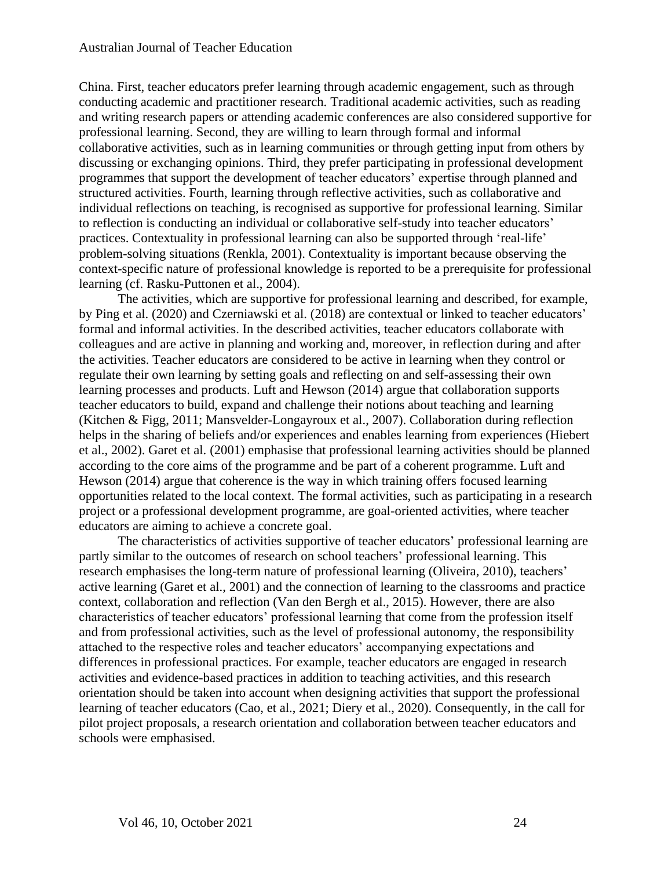#### Australian Journal of Teacher Education

China. First, teacher educators prefer learning through academic engagement, such as through conducting academic and practitioner research. Traditional academic activities, such as reading and writing research papers or attending academic conferences are also considered supportive for professional learning. Second, they are willing to learn through formal and informal collaborative activities, such as in learning communities or through getting input from others by discussing or exchanging opinions. Third, they prefer participating in professional development programmes that support the development of teacher educators' expertise through planned and structured activities. Fourth, learning through reflective activities, such as collaborative and individual reflections on teaching, is recognised as supportive for professional learning. Similar to reflection is conducting an individual or collaborative self-study into teacher educators' practices. Contextuality in professional learning can also be supported through 'real-life' problem-solving situations (Renkla, 2001). Contextuality is important because observing the context-specific nature of professional knowledge is reported to be a prerequisite for professional learning (cf. Rasku-Puttonen et al., 2004).

The activities, which are supportive for professional learning and described, for example, by Ping et al. (2020) and Czerniawski et al. (2018) are contextual or linked to teacher educators' formal and informal activities. In the described activities, teacher educators collaborate with colleagues and are active in planning and working and, moreover, in reflection during and after the activities. Teacher educators are considered to be active in learning when they control or regulate their own learning by setting goals and reflecting on and self-assessing their own learning processes and products. Luft and Hewson (2014) argue that collaboration supports teacher educators to build, expand and challenge their notions about teaching and learning (Kitchen & Figg, 2011; Mansvelder-Longayroux et al., 2007). Collaboration during reflection helps in the sharing of beliefs and/or experiences and enables learning from experiences (Hiebert et al., 2002). Garet et al. (2001) emphasise that professional learning activities should be planned according to the core aims of the programme and be part of a coherent programme. Luft and Hewson (2014) argue that coherence is the way in which training offers focused learning opportunities related to the local context. The formal activities, such as participating in a research project or a professional development programme, are goal-oriented activities, where teacher educators are aiming to achieve a concrete goal.

The characteristics of activities supportive of teacher educators' professional learning are partly similar to the outcomes of research on school teachers' professional learning. This research emphasises the long-term nature of professional learning (Oliveira, 2010), teachers' active learning (Garet et al., 2001) and the connection of learning to the classrooms and practice context, collaboration and reflection (Van den Bergh et al., 2015). However, there are also characteristics of teacher educators' professional learning that come from the profession itself and from professional activities, such as the level of professional autonomy, the responsibility attached to the respective roles and teacher educators' accompanying expectations and differences in professional practices. For example, teacher educators are engaged in research activities and evidence-based practices in addition to teaching activities, and this research orientation should be taken into account when designing activities that support the professional learning of teacher educators (Cao, et al., 2021; Diery et al., 2020). Consequently, in the call for pilot project proposals, a research orientation and collaboration between teacher educators and schools were emphasised.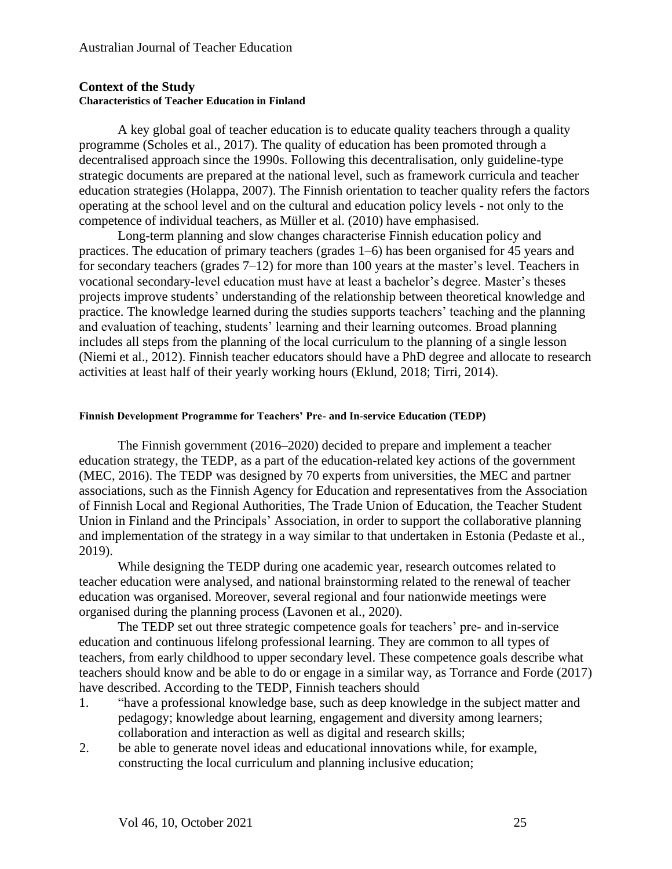## **Context of the Study Characteristics of Teacher Education in Finland**

A key global goal of teacher education is to educate quality teachers through a quality programme (Scholes et al., 2017). The quality of education has been promoted through a decentralised approach since the 1990s. Following this decentralisation, only guideline-type strategic documents are prepared at the national level, such as framework curricula and teacher education strategies (Holappa, 2007). The Finnish orientation to teacher quality refers the factors operating at the school level and on the cultural and education policy levels - not only to the competence of individual teachers, as Müller et al. (2010) have emphasised.

Long-term planning and slow changes characterise Finnish education policy and practices. The education of primary teachers (grades 1–6) has been organised for 45 years and for secondary teachers (grades 7–12) for more than 100 years at the master's level. Teachers in vocational secondary-level education must have at least a bachelor's degree. Master's theses projects improve students' understanding of the relationship between theoretical knowledge and practice. The knowledge learned during the studies supports teachers' teaching and the planning and evaluation of teaching, students' learning and their learning outcomes. Broad planning includes all steps from the planning of the local curriculum to the planning of a single lesson (Niemi et al., 2012). Finnish teacher educators should have a PhD degree and allocate to research activities at least half of their yearly working hours (Eklund, 2018; Tirri, 2014).

#### **Finnish Development Programme for Teachers' Pre- and In-service Education (TEDP)**

The Finnish government (2016–2020) decided to prepare and implement a teacher education strategy, the TEDP, as a part of the education-related key actions of the government (MEC, 2016). The TEDP was designed by 70 experts from universities, the MEC and partner associations, such as the Finnish Agency for Education and representatives from the Association of Finnish Local and Regional Authorities, The Trade Union of Education, the Teacher Student Union in Finland and the Principals' Association, in order to support the collaborative planning and implementation of the strategy in a way similar to that undertaken in Estonia (Pedaste et al., 2019).

While designing the TEDP during one academic year, research outcomes related to teacher education were analysed, and national brainstorming related to the renewal of teacher education was organised. Moreover, several regional and four nationwide meetings were organised during the planning process (Lavonen et al., 2020).

The TEDP set out three strategic competence goals for teachers' pre- and in-service education and continuous lifelong professional learning. They are common to all types of teachers, from early childhood to upper secondary level. These competence goals describe what teachers should know and be able to do or engage in a similar way, as Torrance and Forde (2017) have described. According to the TEDP, Finnish teachers should

- 1. "have a professional knowledge base, such as deep knowledge in the subject matter and pedagogy; knowledge about learning, engagement and diversity among learners; collaboration and interaction as well as digital and research skills;
- 2. be able to generate novel ideas and educational innovations while, for example, constructing the local curriculum and planning inclusive education;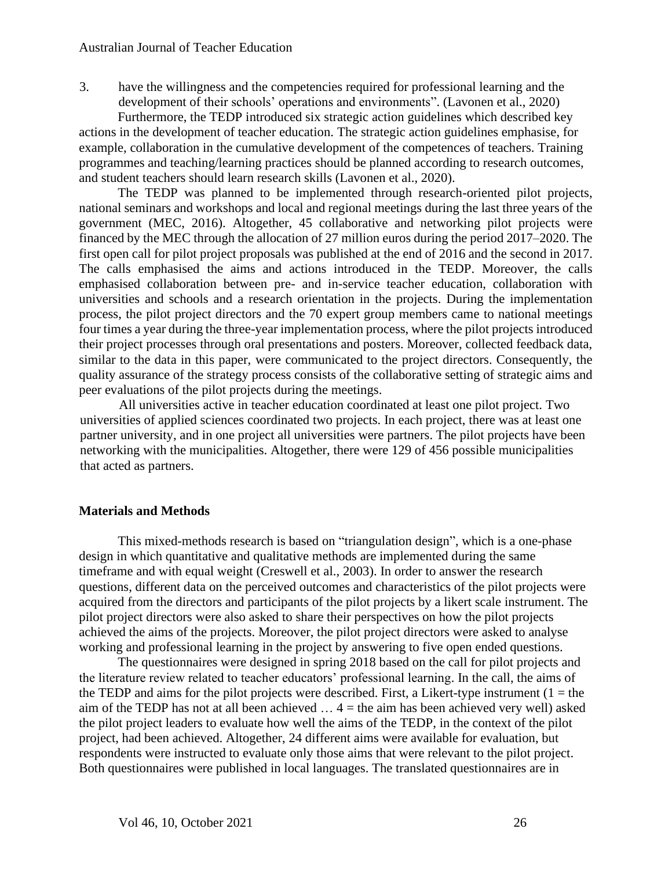#### Australian Journal of Teacher Education

3. have the willingness and the competencies required for professional learning and the development of their schools' operations and environments". (Lavonen et al., 2020)

Furthermore, the TEDP introduced six strategic action guidelines which described key actions in the development of teacher education. The strategic action guidelines emphasise, for example, collaboration in the cumulative development of the competences of teachers. Training programmes and teaching/learning practices should be planned according to research outcomes, and student teachers should learn research skills (Lavonen et al., 2020).

The TEDP was planned to be implemented through research-oriented pilot projects, national seminars and workshops and local and regional meetings during the last three years of the government (MEC, 2016). Altogether, 45 collaborative and networking pilot projects were financed by the MEC through the allocation of 27 million euros during the period 2017–2020. The first open call for pilot project proposals was published at the end of 2016 and the second in 2017. The calls emphasised the aims and actions introduced in the TEDP. Moreover, the calls emphasised collaboration between pre- and in-service teacher education, collaboration with universities and schools and a research orientation in the projects. During the implementation process, the pilot project directors and the 70 expert group members came to national meetings four times a year during the three-year implementation process, where the pilot projects introduced their project processes through oral presentations and posters. Moreover, collected feedback data, similar to the data in this paper, were communicated to the project directors. Consequently, the quality assurance of the strategy process consists of the collaborative setting of strategic aims and peer evaluations of the pilot projects during the meetings.

All universities active in teacher education coordinated at least one pilot project. Two universities of applied sciences coordinated two projects. In each project, there was at least one partner university, and in one project all universities were partners. The pilot projects have been networking with the municipalities. Altogether, there were 129 of 456 possible municipalities that acted as partners.

#### **Materials and Methods**

This mixed-methods research is based on "triangulation design", which is a one-phase design in which quantitative and qualitative methods are implemented during the same timeframe and with equal weight (Creswell et al., 2003). In order to answer the research questions, different data on the perceived outcomes and characteristics of the pilot projects were acquired from the directors and participants of the pilot projects by a likert scale instrument. The pilot project directors were also asked to share their perspectives on how the pilot projects achieved the aims of the projects. Moreover, the pilot project directors were asked to analyse working and professional learning in the project by answering to five open ended questions.

The questionnaires were designed in spring 2018 based on the call for pilot projects and the literature review related to teacher educators' professional learning. In the call, the aims of the TEDP and aims for the pilot projects were described. First, a Likert-type instrument  $(1 =$  the aim of the TEDP has not at all been achieved  $\dots$  4 = the aim has been achieved very well) asked the pilot project leaders to evaluate how well the aims of the TEDP, in the context of the pilot project, had been achieved. Altogether, 24 different aims were available for evaluation, but respondents were instructed to evaluate only those aims that were relevant to the pilot project. Both questionnaires were published in local languages. The translated questionnaires are in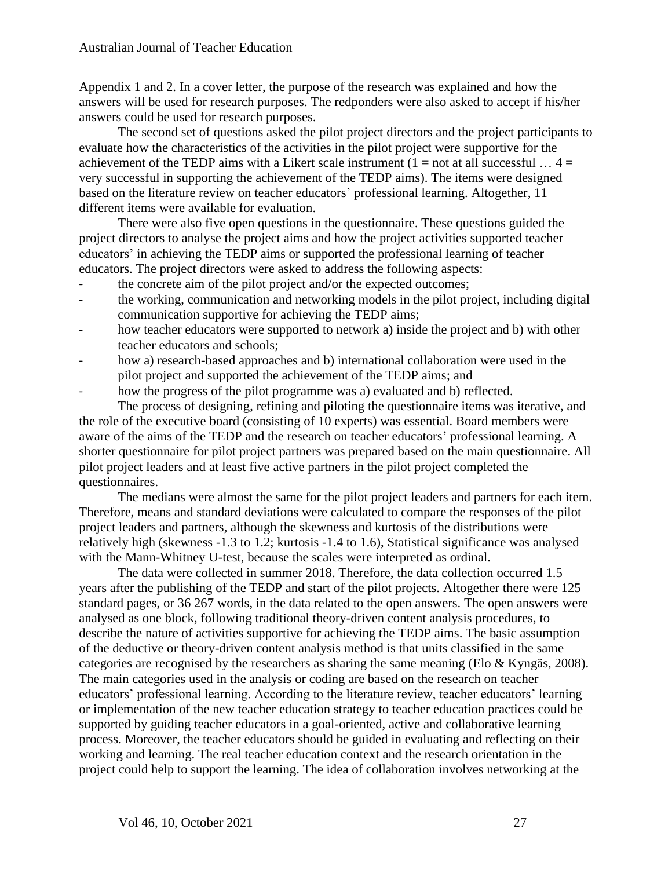Appendix 1 and 2. In a cover letter, the purpose of the research was explained and how the answers will be used for research purposes. The redponders were also asked to accept if his/her answers could be used for research purposes.

The second set of questions asked the pilot project directors and the project participants to evaluate how the characteristics of the activities in the pilot project were supportive for the achievement of the TEDP aims with a Likert scale instrument ( $1 = not$  at all successful ...  $4 =$ very successful in supporting the achievement of the TEDP aims). The items were designed based on the literature review on teacher educators' professional learning. Altogether, 11 different items were available for evaluation.

There were also five open questions in the questionnaire. These questions guided the project directors to analyse the project aims and how the project activities supported teacher educators' in achieving the TEDP aims or supported the professional learning of teacher educators. The project directors were asked to address the following aspects:

- the concrete aim of the pilot project and/or the expected outcomes;
- the working, communication and networking models in the pilot project, including digital communication supportive for achieving the TEDP aims;
- how teacher educators were supported to network a) inside the project and b) with other teacher educators and schools;
- how a) research-based approaches and b) international collaboration were used in the pilot project and supported the achievement of the TEDP aims; and
- how the progress of the pilot programme was a) evaluated and b) reflected.

The process of designing, refining and piloting the questionnaire items was iterative, and the role of the executive board (consisting of 10 experts) was essential. Board members were aware of the aims of the TEDP and the research on teacher educators' professional learning. A shorter questionnaire for pilot project partners was prepared based on the main questionnaire. All pilot project leaders and at least five active partners in the pilot project completed the questionnaires.

The medians were almost the same for the pilot project leaders and partners for each item. Therefore, means and standard deviations were calculated to compare the responses of the pilot project leaders and partners, although the skewness and kurtosis of the distributions were relatively high (skewness -1.3 to 1.2; kurtosis -1.4 to 1.6), Statistical significance was analysed with the Mann-Whitney U-test, because the scales were interpreted as ordinal.

The data were collected in summer 2018. Therefore, the data collection occurred 1.5 years after the publishing of the TEDP and start of the pilot projects. Altogether there were 125 standard pages, or 36 267 words, in the data related to the open answers. The open answers were analysed as one block, following traditional theory-driven content analysis procedures, to describe the nature of activities supportive for achieving the TEDP aims. The basic assumption of the deductive or theory-driven content analysis method is that units classified in the same categories are recognised by the researchers as sharing the same meaning (Elo & Kyngäs, 2008). The main categories used in the analysis or coding are based on the research on teacher educators' professional learning. According to the literature review, teacher educators' learning or implementation of the new teacher education strategy to teacher education practices could be supported by guiding teacher educators in a goal-oriented, active and collaborative learning process. Moreover, the teacher educators should be guided in evaluating and reflecting on their working and learning. The real teacher education context and the research orientation in the project could help to support the learning. The idea of collaboration involves networking at the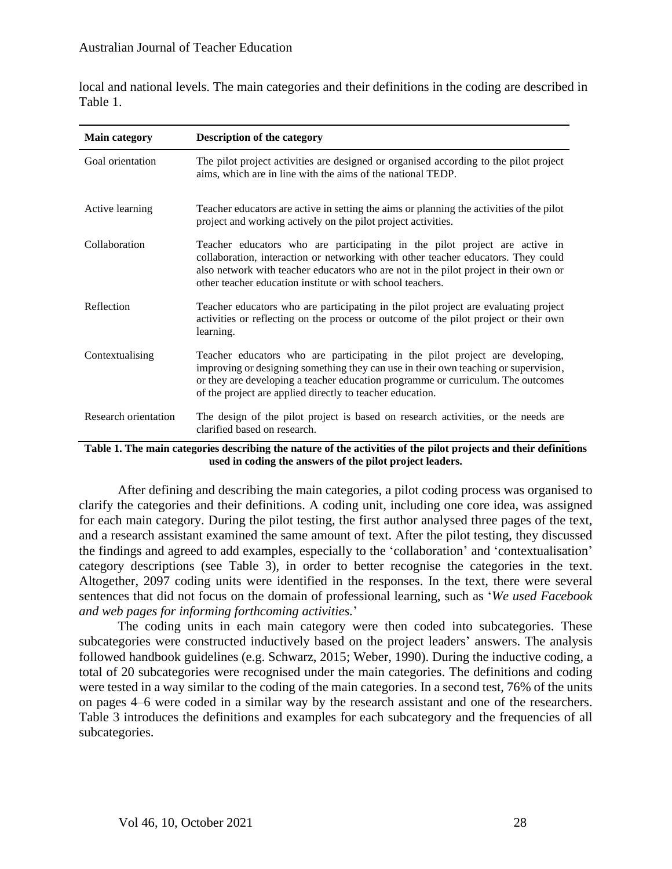local and national levels. The main categories and their definitions in the coding are described in Table 1.

| <b>Main category</b>                                                                                                                                                         | <b>Description of the category</b>                                                                                                                                                                                                                                                                                    |  |  |  |
|------------------------------------------------------------------------------------------------------------------------------------------------------------------------------|-----------------------------------------------------------------------------------------------------------------------------------------------------------------------------------------------------------------------------------------------------------------------------------------------------------------------|--|--|--|
| Goal orientation                                                                                                                                                             | The pilot project activities are designed or organised according to the pilot project<br>aims, which are in line with the aims of the national TEDP.                                                                                                                                                                  |  |  |  |
| Active learning                                                                                                                                                              | Teacher educators are active in setting the aims or planning the activities of the pilot<br>project and working actively on the pilot project activities.                                                                                                                                                             |  |  |  |
| Collaboration                                                                                                                                                                | Teacher educators who are participating in the pilot project are active in<br>collaboration, interaction or networking with other teacher educators. They could<br>also network with teacher educators who are not in the pilot project in their own or<br>other teacher education institute or with school teachers. |  |  |  |
| Reflection                                                                                                                                                                   | Teacher educators who are participating in the pilot project are evaluating project<br>activities or reflecting on the process or outcome of the pilot project or their own<br>learning.                                                                                                                              |  |  |  |
| Contextualising                                                                                                                                                              | Teacher educators who are participating in the pilot project are developing,<br>improving or designing something they can use in their own teaching or supervision,<br>or they are developing a teacher education programme or curriculum. The outcomes<br>of the project are applied directly to teacher education.  |  |  |  |
| Research orientation                                                                                                                                                         | The design of the pilot project is based on research activities, or the needs are<br>clarified based on research.                                                                                                                                                                                                     |  |  |  |
| Table 1. The main categories describing the nature of the activities of the pilot projects and their definitions<br>used in coding the answers of the pilot project leaders. |                                                                                                                                                                                                                                                                                                                       |  |  |  |

After defining and describing the main categories, a pilot coding process was organised to clarify the categories and their definitions. A coding unit, including one core idea, was assigned for each main category. During the pilot testing, the first author analysed three pages of the text, and a research assistant examined the same amount of text. After the pilot testing, they discussed the findings and agreed to add examples, especially to the 'collaboration' and 'contextualisation' category descriptions (see Table 3), in order to better recognise the categories in the text. Altogether, 2097 coding units were identified in the responses. In the text, there were several sentences that did not focus on the domain of professional learning, such as '*We used Facebook and web pages for informing forthcoming activities.*'

The coding units in each main category were then coded into subcategories. These subcategories were constructed inductively based on the project leaders' answers. The analysis followed handbook guidelines (e.g. Schwarz, 2015; Weber, 1990). During the inductive coding, a total of 20 subcategories were recognised under the main categories. The definitions and coding were tested in a way similar to the coding of the main categories. In a second test, 76% of the units on pages 4–6 were coded in a similar way by the research assistant and one of the researchers. Table 3 introduces the definitions and examples for each subcategory and the frequencies of all subcategories.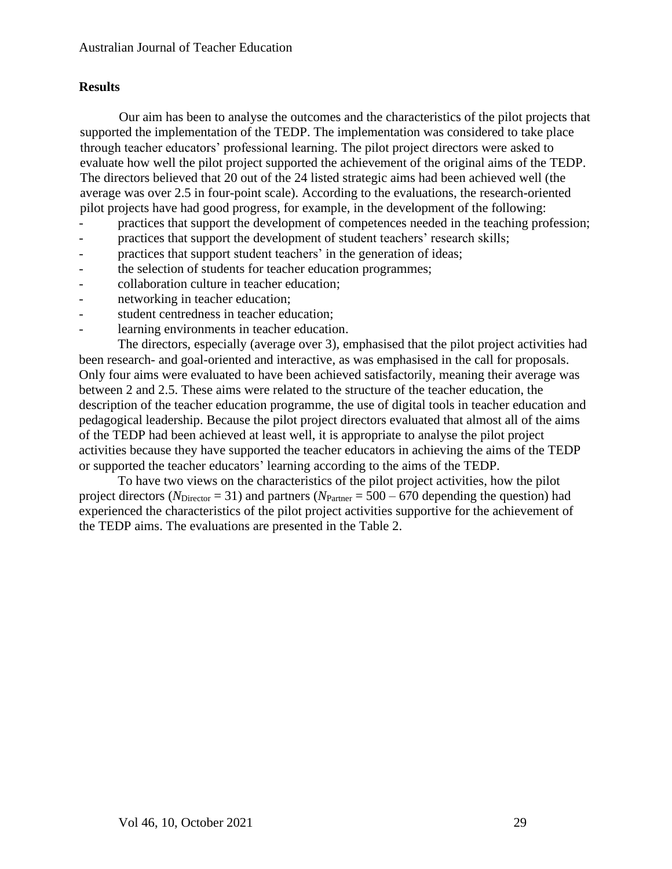## **Results**

Our aim has been to analyse the outcomes and the characteristics of the pilot projects that supported the implementation of the TEDP. The implementation was considered to take place through teacher educators' professional learning. The pilot project directors were asked to evaluate how well the pilot project supported the achievement of the original aims of the TEDP. The directors believed that 20 out of the 24 listed strategic aims had been achieved well (the average was over 2.5 in four-point scale). According to the evaluations, the research-oriented pilot projects have had good progress, for example, in the development of the following:

- practices that support the development of competences needed in the teaching profession;
- practices that support the development of student teachers' research skills;
- practices that support student teachers' in the generation of ideas;
- the selection of students for teacher education programmes;
- collaboration culture in teacher education;
- networking in teacher education;
- student centredness in teacher education;
- learning environments in teacher education.

The directors, especially (average over 3), emphasised that the pilot project activities had been research- and goal-oriented and interactive, as was emphasised in the call for proposals. Only four aims were evaluated to have been achieved satisfactorily, meaning their average was between 2 and 2.5. These aims were related to the structure of the teacher education, the description of the teacher education programme, the use of digital tools in teacher education and pedagogical leadership. Because the pilot project directors evaluated that almost all of the aims of the TEDP had been achieved at least well, it is appropriate to analyse the pilot project activities because they have supported the teacher educators in achieving the aims of the TEDP or supported the teacher educators' learning according to the aims of the TEDP.

To have two views on the characteristics of the pilot project activities, how the pilot project directors (*N*<sub>Director</sub> = 31) and partners (*N*<sub>Partner</sub> = 500 – 670 depending the question) had experienced the characteristics of the pilot project activities supportive for the achievement of the TEDP aims. The evaluations are presented in the Table 2.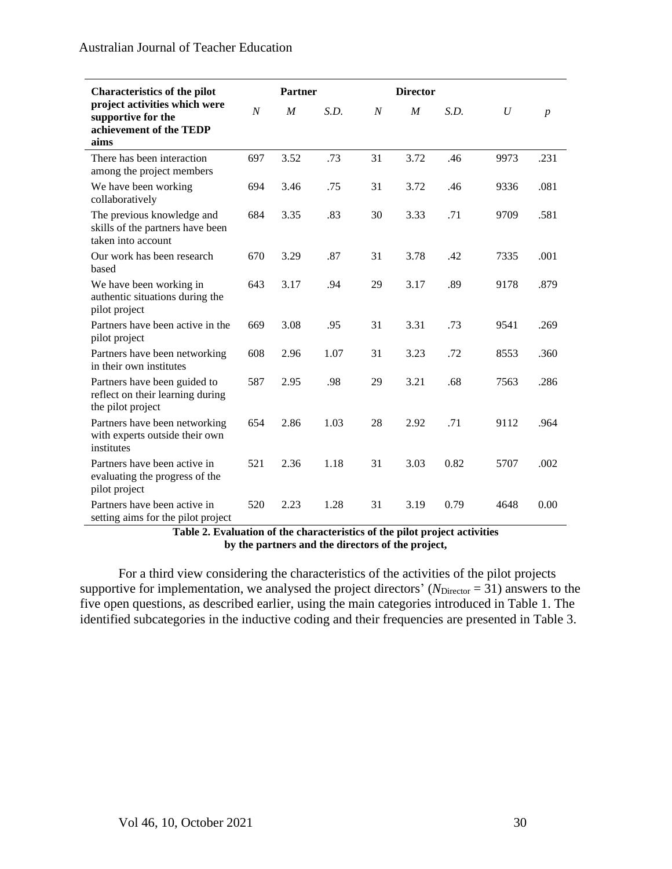| <b>Characteristics of the pilot</b>                                                    | <b>Partner</b> |                  | <b>Director</b> |                |                  |      |      |                  |
|----------------------------------------------------------------------------------------|----------------|------------------|-----------------|----------------|------------------|------|------|------------------|
| project activities which were<br>supportive for the<br>achievement of the TEDP<br>aims | $\overline{N}$ | $\boldsymbol{M}$ | S.D.            | $\overline{N}$ | $\boldsymbol{M}$ | S.D. | U    | $\boldsymbol{p}$ |
| There has been interaction<br>among the project members                                | 697            | 3.52             | .73             | 31             | 3.72             | .46  | 9973 | .231             |
| We have been working<br>collaboratively                                                | 694            | 3.46             | .75             | 31             | 3.72             | .46  | 9336 | .081             |
| The previous knowledge and<br>skills of the partners have been<br>taken into account   | 684            | 3.35             | .83             | 30             | 3.33             | .71  | 9709 | .581             |
| Our work has been research<br>based                                                    | 670            | 3.29             | .87             | 31             | 3.78             | .42  | 7335 | .001             |
| We have been working in<br>authentic situations during the<br>pilot project            | 643            | 3.17             | .94             | 29             | 3.17             | .89  | 9178 | .879             |
| Partners have been active in the<br>pilot project                                      | 669            | 3.08             | .95             | 31             | 3.31             | .73  | 9541 | .269             |
| Partners have been networking<br>in their own institutes                               | 608            | 2.96             | 1.07            | 31             | 3.23             | .72  | 8553 | .360             |
| Partners have been guided to<br>reflect on their learning during<br>the pilot project  | 587            | 2.95             | .98             | 29             | 3.21             | .68  | 7563 | .286             |
| Partners have been networking<br>with experts outside their own<br>institutes          | 654            | 2.86             | 1.03            | 28             | 2.92             | .71  | 9112 | .964             |
| Partners have been active in<br>evaluating the progress of the<br>pilot project        | 521            | 2.36             | 1.18            | 31             | 3.03             | 0.82 | 5707 | .002             |
| Partners have been active in<br>setting aims for the pilot project                     | 520            | 2.23             | 1.28            | 31             | 3.19             | 0.79 | 4648 | 0.00             |

**Table 2. Evaluation of the characteristics of the pilot project activities by the partners and the directors of the project,**

For a third view considering the characteristics of the activities of the pilot projects supportive for implementation, we analysed the project directors' ( $N<sub>Directory</sub> = 31$ ) answers to the five open questions, as described earlier, using the main categories introduced in Table 1. The identified subcategories in the inductive coding and their frequencies are presented in Table 3.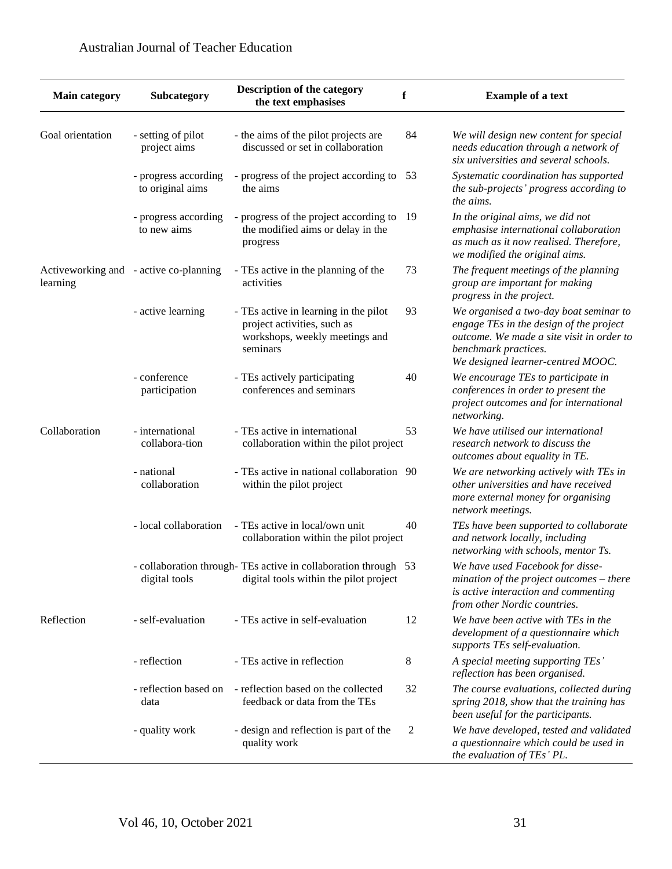| <b>Main category</b> | Subcategory                              | Description of the category<br>the text emphasises                                                                 | $\mathbf f$ | <b>Example of a text</b>                                                                                                                                                                    |
|----------------------|------------------------------------------|--------------------------------------------------------------------------------------------------------------------|-------------|---------------------------------------------------------------------------------------------------------------------------------------------------------------------------------------------|
| Goal orientation     | - setting of pilot<br>project aims       | - the aims of the pilot projects are<br>discussed or set in collaboration                                          | 84          | We will design new content for special<br>needs education through a network of<br>six universities and several schools.                                                                     |
|                      | - progress according<br>to original aims | - progress of the project according to 53<br>the aims                                                              |             | Systematic coordination has supported<br>the sub-projects' progress according to<br>the aims.                                                                                               |
|                      | - progress according<br>to new aims      | - progress of the project according to 19<br>the modified aims or delay in the<br>progress                         |             | In the original aims, we did not<br>emphasise international collaboration<br>as much as it now realised. Therefore,<br>we modified the original aims.                                       |
| learning             | Activeworking and - active co-planning   | - TEs active in the planning of the<br>activities                                                                  | 73          | The frequent meetings of the planning<br>group are important for making<br>progress in the project.                                                                                         |
|                      | - active learning                        | - TEs active in learning in the pilot<br>project activities, such as<br>workshops, weekly meetings and<br>seminars | 93          | We organised a two-day boat seminar to<br>engage TEs in the design of the project<br>outcome. We made a site visit in order to<br>benchmark practices.<br>We designed learner-centred MOOC. |
|                      | - conference<br>participation            | - TEs actively participating<br>conferences and seminars                                                           | 40          | We encourage TEs to participate in<br>conferences in order to present the<br>project outcomes and for international<br>networking.                                                          |
| Collaboration        | - international<br>collabora-tion        | - TEs active in international<br>collaboration within the pilot project                                            | 53          | We have utilised our international<br>research network to discuss the<br>outcomes about equality in TE.                                                                                     |
|                      | - national<br>collaboration              | - TEs active in national collaboration 90<br>within the pilot project                                              |             | We are networking actively with TEs in<br>other universities and have received<br>more external money for organising<br>network meetings.                                                   |
|                      | - local collaboration                    | - TEs active in local/own unit<br>collaboration within the pilot project                                           | 40          | TEs have been supported to collaborate<br>and network locally, including<br>networking with schools, mentor Ts.                                                                             |
|                      | digital tools                            | - collaboration through- TEs active in collaboration through 53<br>digital tools within the pilot project          |             | We have used Facebook for disse-<br>mination of the project outcomes - there<br>is active interaction and commenting<br>from other Nordic countries.                                        |
| Reflection           | - self-evaluation                        | - TEs active in self-evaluation                                                                                    | 12          | We have been active with TEs in the<br>development of a questionnaire which<br>supports TEs self-evaluation.                                                                                |
|                      | - reflection                             | - TEs active in reflection                                                                                         | 8           | A special meeting supporting TEs'<br>reflection has been organised.                                                                                                                         |
|                      | - reflection based on<br>data            | - reflection based on the collected<br>feedback or data from the TEs                                               | 32          | The course evaluations, collected during<br>spring 2018, show that the training has<br>been useful for the participants.                                                                    |
|                      | - quality work                           | - design and reflection is part of the<br>quality work                                                             | 2           | We have developed, tested and validated<br>a questionnaire which could be used in<br>the evaluation of TEs' PL.                                                                             |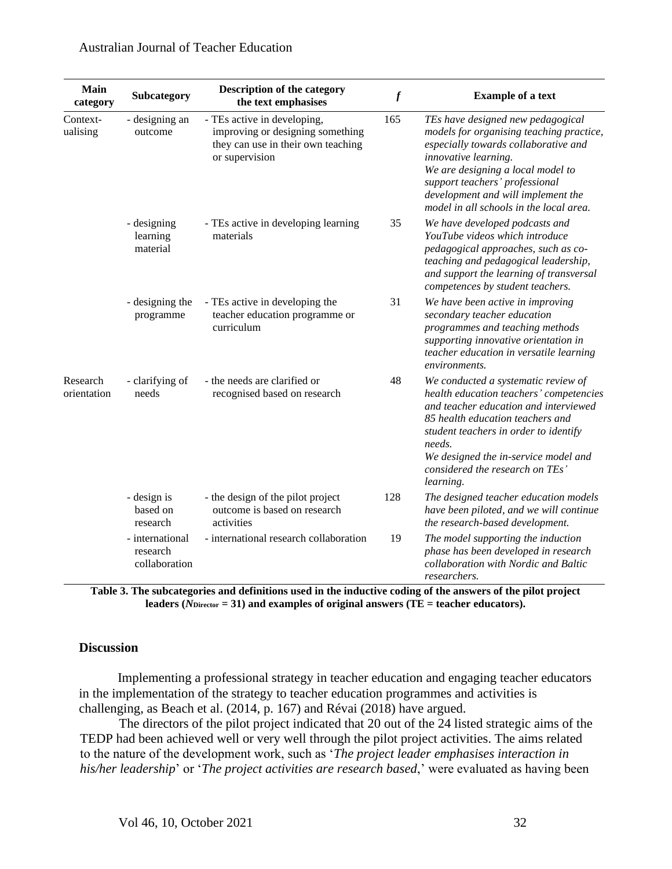| <b>Main</b><br>category | Subcategory                                  | <b>Description of the category</b><br>the text emphasises                                                               | $\boldsymbol{f}$ | <b>Example of a text</b>                                                                                                                                                                                                                                                                               |
|-------------------------|----------------------------------------------|-------------------------------------------------------------------------------------------------------------------------|------------------|--------------------------------------------------------------------------------------------------------------------------------------------------------------------------------------------------------------------------------------------------------------------------------------------------------|
| Context-<br>ualising    | - designing an<br>outcome                    | - TEs active in developing,<br>improving or designing something<br>they can use in their own teaching<br>or supervision | 165              | TEs have designed new pedagogical<br>models for organising teaching practice,<br>especially towards collaborative and<br>innovative learning.<br>We are designing a local model to<br>support teachers' professional<br>development and will implement the<br>model in all schools in the local area.  |
|                         | - designing<br>learning<br>material          | - TEs active in developing learning<br>materials                                                                        | 35               | We have developed podcasts and<br>YouTube videos which introduce<br>pedagogical approaches, such as co-<br>teaching and pedagogical leadership,<br>and support the learning of transversal<br>competences by student teachers.                                                                         |
|                         | - designing the<br>programme                 | - TEs active in developing the<br>teacher education programme or<br>curriculum                                          | 31               | We have been active in improving<br>secondary teacher education<br>programmes and teaching methods<br>supporting innovative orientation in<br>teacher education in versatile learning<br>environments.                                                                                                 |
| Research<br>orientation | - clarifying of<br>needs                     | - the needs are clarified or<br>recognised based on research                                                            | 48               | We conducted a systematic review of<br>health education teachers' competencies<br>and teacher education and interviewed<br>85 health education teachers and<br>student teachers in order to identify<br>needs.<br>We designed the in-service model and<br>considered the research on TEs'<br>learning. |
|                         | - design is<br>based on<br>research          | - the design of the pilot project<br>outcome is based on research<br>activities                                         | 128              | The designed teacher education models<br>have been piloted, and we will continue<br>the research-based development.                                                                                                                                                                                    |
|                         | - international<br>research<br>collaboration | - international research collaboration                                                                                  | 19               | The model supporting the induction<br>phase has been developed in research<br>collaboration with Nordic and Baltic<br>researchers.                                                                                                                                                                     |

**Table 3. The subcategories and definitions used in the inductive coding of the answers of the pilot project leaders (***N***Director = 31) and examples of original answers (TE = teacher educators).**

#### **Discussion**

Implementing a professional strategy in teacher education and engaging teacher educators in the implementation of the strategy to teacher education programmes and activities is challenging, as Beach et al. (2014, p. 167) and Révai (2018) have argued.

The directors of the pilot project indicated that 20 out of the 24 listed strategic aims of the TEDP had been achieved well or very well through the pilot project activities. The aims related to the nature of the development work, such as '*The project leader emphasises interaction in his/her leadership*' or '*The project activities are research based*,' were evaluated as having been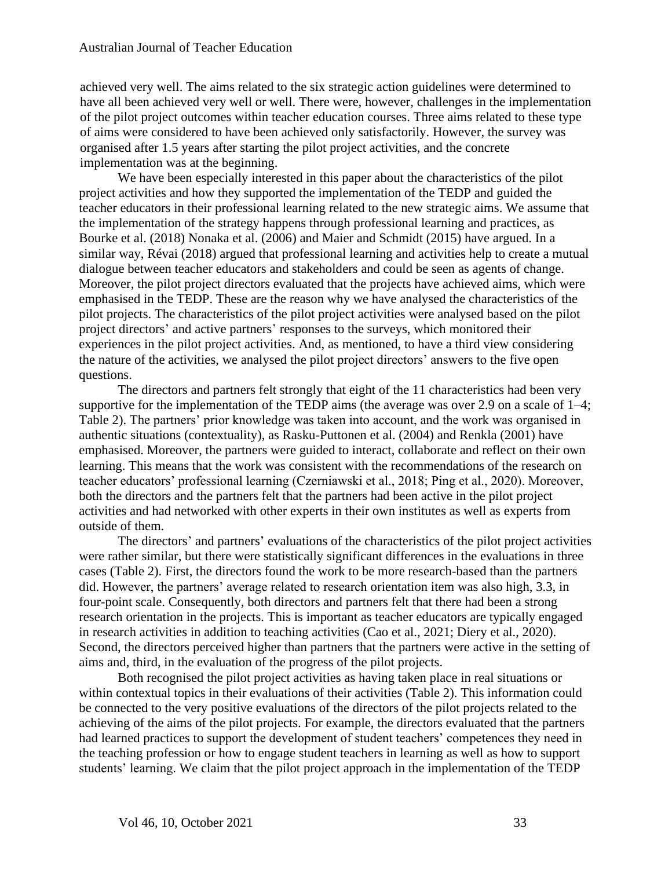achieved very well. The aims related to the six strategic action guidelines were determined to have all been achieved very well or well. There were, however, challenges in the implementation of the pilot project outcomes within teacher education courses. Three aims related to these type of aims were considered to have been achieved only satisfactorily. However, the survey was organised after 1.5 years after starting the pilot project activities, and the concrete implementation was at the beginning.

We have been especially interested in this paper about the characteristics of the pilot project activities and how they supported the implementation of the TEDP and guided the teacher educators in their professional learning related to the new strategic aims. We assume that the implementation of the strategy happens through professional learning and practices, as Bourke et al. (2018) Nonaka et al. (2006) and Maier and Schmidt (2015) have argued. In a similar way, Révai [\(2018\)](https://onlinelibrary.wiley.com/doi/full/10.1111/ejed.12346#ejed12346-bib-0013) argued that professional learning and activities help to create a mutual dialogue between teacher educators and stakeholders and could be seen as agents of change. Moreover, the pilot project directors evaluated that the projects have achieved aims, which were emphasised in the TEDP. These are the reason why we have analysed the characteristics of the pilot projects. The characteristics of the pilot project activities were analysed based on the pilot project directors' and active partners' responses to the surveys, which monitored their experiences in the pilot project activities. And, as mentioned, to have a third view considering the nature of the activities, we analysed the pilot project directors' answers to the five open questions.

The directors and partners felt strongly that eight of the 11 characteristics had been very supportive for the implementation of the TEDP aims (the average was over 2.9 on a scale of 1–4; Table 2). The partners' prior knowledge was taken into account, and the work was organised in authentic situations (contextuality), as Rasku-Puttonen et al. (2004) and Renkla (2001) have emphasised. Moreover, the partners were guided to interact, collaborate and reflect on their own learning. This means that the work was consistent with the recommendations of the research on teacher educators' professional learning (Czerniawski et al., 2018; Ping et al., 2020). Moreover, both the directors and the partners felt that the partners had been active in the pilot project activities and had networked with other experts in their own institutes as well as experts from outside of them.

The directors' and partners' evaluations of the characteristics of the pilot project activities were rather similar, but there were statistically significant differences in the evaluations in three cases (Table 2). First, the directors found the work to be more research-based than the partners did. However, the partners' average related to research orientation item was also high, 3.3, in four-point scale. Consequently, both directors and partners felt that there had been a strong research orientation in the projects. This is important as teacher educators are typically engaged in research activities in addition to teaching activities (Cao et al., 2021; Diery et al., 2020). Second, the directors perceived higher than partners that the partners were active in the setting of aims and, third, in the evaluation of the progress of the pilot projects.

Both recognised the pilot project activities as having taken place in real situations or within contextual topics in their evaluations of their activities (Table 2). This information could be connected to the very positive evaluations of the directors of the pilot projects related to the achieving of the aims of the pilot projects. For example, the directors evaluated that the partners had learned practices to support the development of student teachers' competences they need in the teaching profession or how to engage student teachers in learning as well as how to support students' learning. We claim that the pilot project approach in the implementation of the TEDP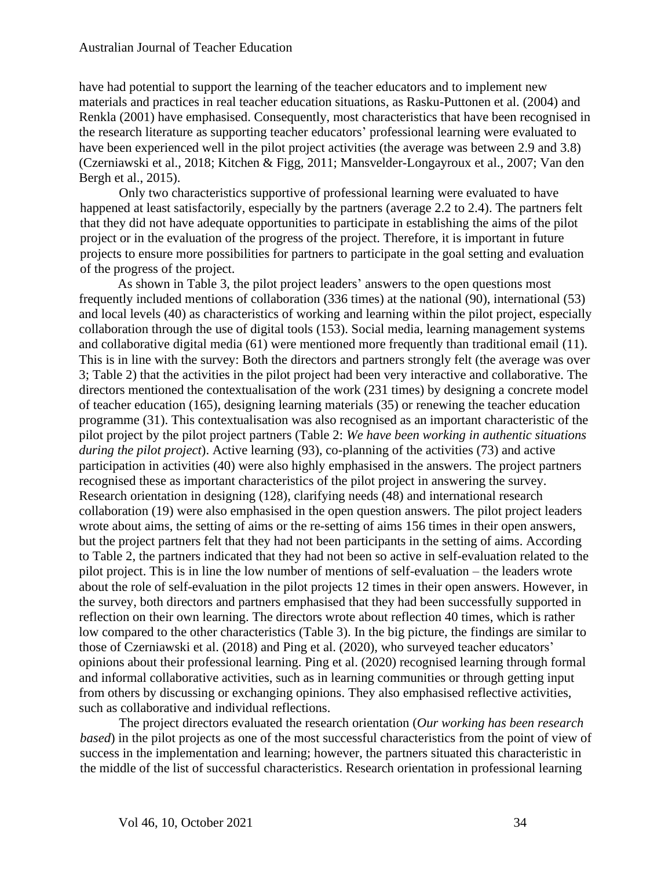have had potential to support the learning of the teacher educators and to implement new materials and practices in real teacher education situations, as Rasku-Puttonen et al. (2004) and Renkla (2001) have emphasised. Consequently, most characteristics that have been recognised in the research literature as supporting teacher educators' professional learning were evaluated to have been experienced well in the pilot project activities (the average was between 2.9 and 3.8) (Czerniawski et al., 2018; Kitchen & Figg, 2011; Mansvelder-Longayroux et al., 2007; Van den Bergh et al., 2015).

Only two characteristics supportive of professional learning were evaluated to have happened at least satisfactorily, especially by the partners (average 2.2 to 2.4). The partners felt that they did not have adequate opportunities to participate in establishing the aims of the pilot project or in the evaluation of the progress of the project. Therefore, it is important in future projects to ensure more possibilities for partners to participate in the goal setting and evaluation of the progress of the project.

As shown in Table 3, the pilot project leaders' answers to the open questions most frequently included mentions of collaboration (336 times) at the national (90), international (53) and local levels (40) as characteristics of working and learning within the pilot project, especially collaboration through the use of digital tools (153). Social media, learning management systems and collaborative digital media (61) were mentioned more frequently than traditional email (11). This is in line with the survey: Both the directors and partners strongly felt (the average was over 3; Table 2) that the activities in the pilot project had been very interactive and collaborative. The directors mentioned the contextualisation of the work (231 times) by designing a concrete model of teacher education (165), designing learning materials (35) or renewing the teacher education programme (31). This contextualisation was also recognised as an important characteristic of the pilot project by the pilot project partners (Table 2: *We have been working in authentic situations during the pilot project*). Active learning (93), co-planning of the activities (73) and active participation in activities (40) were also highly emphasised in the answers. The project partners recognised these as important characteristics of the pilot project in answering the survey. Research orientation in designing (128), clarifying needs (48) and international research collaboration (19) were also emphasised in the open question answers. The pilot project leaders wrote about aims, the setting of aims or the re-setting of aims 156 times in their open answers, but the project partners felt that they had not been participants in the setting of aims. According to Table 2, the partners indicated that they had not been so active in self-evaluation related to the pilot project. This is in line the low number of mentions of self-evaluation – the leaders wrote about the role of self-evaluation in the pilot projects 12 times in their open answers. However, in the survey, both directors and partners emphasised that they had been successfully supported in reflection on their own learning. The directors wrote about reflection 40 times, which is rather low compared to the other characteristics (Table 3). In the big picture, the findings are similar to those of Czerniawski et al. (2018) and Ping et al. (2020), who surveyed teacher educators' opinions about their professional learning. Ping et al. (2020) recognised learning through formal and informal collaborative activities, such as in learning communities or through getting input from others by discussing or exchanging opinions. They also emphasised reflective activities, such as collaborative and individual reflections.

The project directors evaluated the research orientation (*Our working has been research based*) in the pilot projects as one of the most successful characteristics from the point of view of success in the implementation and learning; however, the partners situated this characteristic in the middle of the list of successful characteristics. Research orientation in professional learning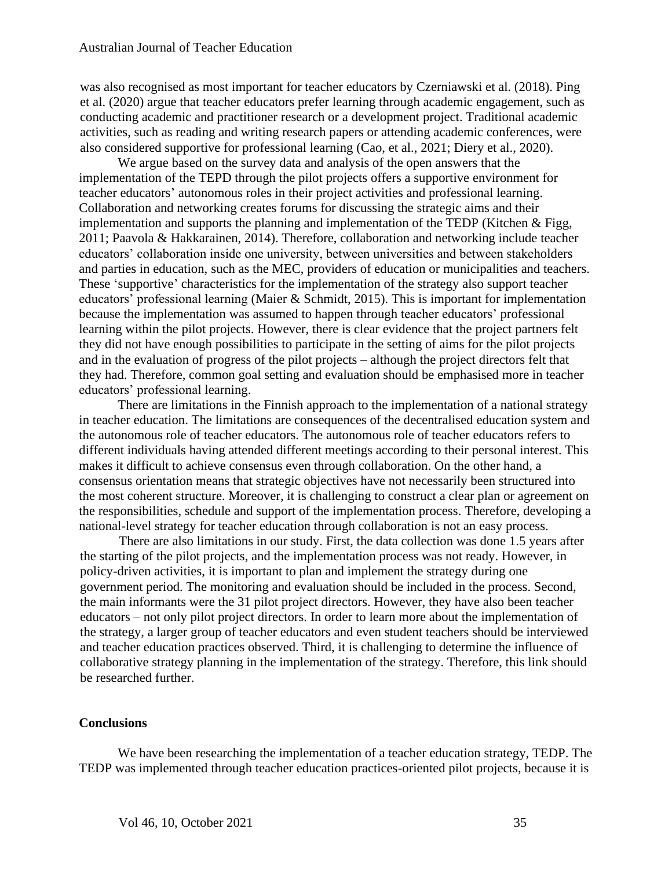was also recognised as most important for teacher educators by Czerniawski et al. (2018). Ping et al. (2020) argue that teacher educators prefer learning through academic engagement, such as conducting academic and practitioner research or a development project. Traditional academic activities, such as reading and writing research papers or attending academic conferences, were also considered supportive for professional learning (Cao, et al., 2021; Diery et al., 2020).

We argue based on the survey data and analysis of the open answers that the implementation of the TEPD through the pilot projects offers a supportive environment for teacher educators' autonomous roles in their project activities and professional learning. Collaboration and networking creates forums for discussing the strategic aims and their implementation and supports the planning and implementation of the TEDP (Kitchen & Figg, 2011; Paavola & Hakkarainen, 2014). Therefore, collaboration and networking include teacher educators' collaboration inside one university, between universities and between stakeholders and parties in education, such as the MEC, providers of education or municipalities and teachers. These 'supportive' characteristics for the implementation of the strategy also support teacher educators' professional learning (Maier & Schmidt, 2015). This is important for implementation because the implementation was assumed to happen through teacher educators' professional learning within the pilot projects. However, there is clear evidence that the project partners felt they did not have enough possibilities to participate in the setting of aims for the pilot projects and in the evaluation of progress of the pilot projects – although the project directors felt that they had. Therefore, common goal setting and evaluation should be emphasised more in teacher educators' professional learning.

There are limitations in the Finnish approach to the implementation of a national strategy in teacher education. The limitations are consequences of the decentralised education system and the autonomous role of teacher educators. The autonomous role of teacher educators refers to different individuals having attended different meetings according to their personal interest. This makes it difficult to achieve consensus even through collaboration. On the other hand, a consensus orientation means that strategic objectives have not necessarily been structured into the most coherent structure. Moreover, it is challenging to construct a clear plan or agreement on the responsibilities, schedule and support of the implementation process. Therefore, developing a national-level strategy for teacher education through collaboration is not an easy process.

There are also limitations in our study. First, the data collection was done 1.5 years after the starting of the pilot projects, and the implementation process was not ready. However, in policy-driven activities, it is important to plan and implement the strategy during one government period. The monitoring and evaluation should be included in the process. Second, the main informants were the 31 pilot project directors. However, they have also been teacher educators – not only pilot project directors. In order to learn more about the implementation of the strategy, a larger group of teacher educators and even student teachers should be interviewed and teacher education practices observed. Third, it is challenging to determine the influence of collaborative strategy planning in the implementation of the strategy. Therefore, this link should be researched further.

#### **Conclusions**

We have been researching the implementation of a teacher education strategy, TEDP. The TEDP was implemented through teacher education practices-oriented pilot projects, because it is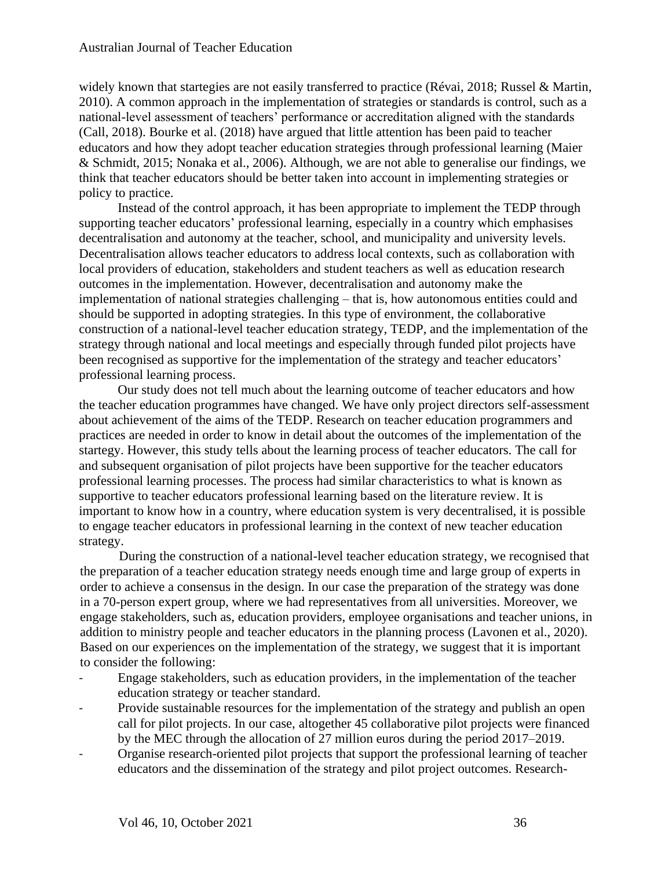widely known that startegies are not easily transferred to practice (Révai, 2018; Russel & Martin, 2010). A common approach in the implementation of strategies or standards is control, such as a national-level assessment of teachers' performance or accreditation aligned with the standards (Call, 2018). Bourke et al. (2018) have argued that little attention has been paid to teacher educators and how they adopt teacher education strategies through professional learning (Maier & Schmidt, 2015; Nonaka et al., 2006). Although, we are not able to generalise our findings, we think that teacher educators should be better taken into account in implementing strategies or policy to practice.

Instead of the control approach, it has been appropriate to implement the TEDP through supporting teacher educators' professional learning, especially in a country which emphasises decentralisation and autonomy at the teacher, school, and municipality and university levels. Decentralisation allows teacher educators to address local contexts, such as collaboration with local providers of education, stakeholders and student teachers as well as education research outcomes in the implementation. However, decentralisation and autonomy make the implementation of national strategies challenging – that is, how autonomous entities could and should be supported in adopting strategies. In this type of environment, the collaborative construction of a national-level teacher education strategy, TEDP, and the implementation of the strategy through national and local meetings and especially through funded pilot projects have been recognised as supportive for the implementation of the strategy and teacher educators' professional learning process.

Our study does not tell much about the learning outcome of teacher educators and how the teacher education programmes have changed. We have only project directors self-assessment about achievement of the aims of the TEDP. Research on teacher education programmers and practices are needed in order to know in detail about the outcomes of the implementation of the startegy. However, this study tells about the learning process of teacher educators. The call for and subsequent organisation of pilot projects have been supportive for the teacher educators professional learning processes. The process had similar characteristics to what is known as supportive to teacher educators professional learning based on the literature review. It is important to know how in a country, where education system is very decentralised, it is possible to engage teacher educators in professional learning in the context of new teacher education strategy.

During the construction of a national-level teacher education strategy, we recognised that the preparation of a teacher education strategy needs enough time and large group of experts in order to achieve a consensus in the design. In our case the preparation of the strategy was done in a 70-person expert group, where we had representatives from all universities. Moreover, we engage stakeholders, such as, education providers, employee organisations and teacher unions, in addition to ministry people and teacher educators in the planning process (Lavonen et al., 2020). Based on our experiences on the implementation of the strategy, we suggest that it is important to consider the following:

- Engage stakeholders, such as education providers, in the implementation of the teacher education strategy or teacher standard.
- Provide sustainable resources for the implementation of the strategy and publish an open call for pilot projects. In our case, altogether 45 collaborative pilot projects were financed by the MEC through the allocation of 27 million euros during the period 2017–2019.
- Organise research-oriented pilot projects that support the professional learning of teacher educators and the dissemination of the strategy and pilot project outcomes. Research-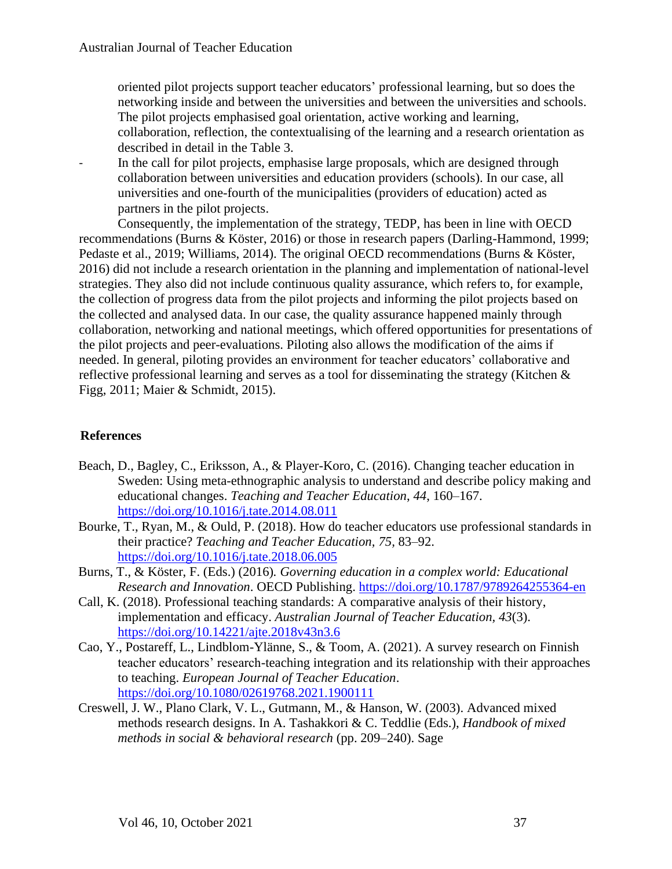oriented pilot projects support teacher educators' professional learning, but so does the networking inside and between the universities and between the universities and schools. The pilot projects emphasised goal orientation, active working and learning, collaboration, reflection, the contextualising of the learning and a research orientation as described in detail in the Table 3.

- In the call for pilot projects, emphasise large proposals, which are designed through collaboration between universities and education providers (schools). In our case, all universities and one-fourth of the municipalities (providers of education) acted as partners in the pilot projects.

Consequently, the implementation of the strategy, TEDP, has been in line with OECD recommendations (Burns & Köster, 2016) or those in research papers (Darling-Hammond, 1999; Pedaste et al., 2019; Williams, 2014). The original OECD recommendations (Burns & Köster, 2016) did not include a research orientation in the planning and implementation of national-level strategies. They also did not include continuous quality assurance, which refers to, for example, the collection of progress data from the pilot projects and informing the pilot projects based on the collected and analysed data. In our case, the quality assurance happened mainly through collaboration, networking and national meetings, which offered opportunities for presentations of the pilot projects and peer-evaluations. Piloting also allows the modification of the aims if needed. In general, piloting provides an environment for teacher educators' collaborative and reflective professional learning and serves as a tool for disseminating the strategy (Kitchen & Figg, 2011; Maier & Schmidt, 2015).

## **References**

- Beach, D., Bagley, C., Eriksson, A., & Player-Koro, C. (2016). Changing teacher education in Sweden: Using meta-ethnographic analysis to understand and describe policy making and educational changes. *Teaching and Teacher Education*, *44*, 160–167. <https://doi.org/10.1016/j.tate.2014.08.011>
- Bourke, T., Ryan, M., & Ould, P. (2018). How do teacher educators use professional standards in their practice? *Teaching and Teacher Education, 75,* 83–92. <https://doi.org/10.1016/j.tate.2018.06.005>
- Burns, T., & Köster, F. (Eds.) (2016)*. Governing education in a complex world: Educational Research and Innovation*. OECD Publishing. <https://doi.org/10.1787/9789264255364-en>
- Call, K. (2018). Professional teaching standards: A comparative analysis of their history, implementation and efficacy. *Australian Journal of Teacher Education, 43*(3). <https://doi.org/10.14221/ajte.2018v43n3.6>
- Cao, Y., Postareff, L., Lindblom-Ylänne, S., & Toom, A. (2021). A survey research on Finnish teacher educators' research-teaching integration and its relationship with their approaches to teaching. *European Journal of Teacher Education*. <https://doi.org/10.1080/02619768.2021.1900111>
- Creswell, J. W., Plano Clark, V. L., Gutmann, M., & Hanson, W. (2003). Advanced mixed methods research designs. In A. Tashakkori & C. Teddlie (Eds.), *Handbook of mixed methods in social & behavioral research* (pp. 209–240). Sage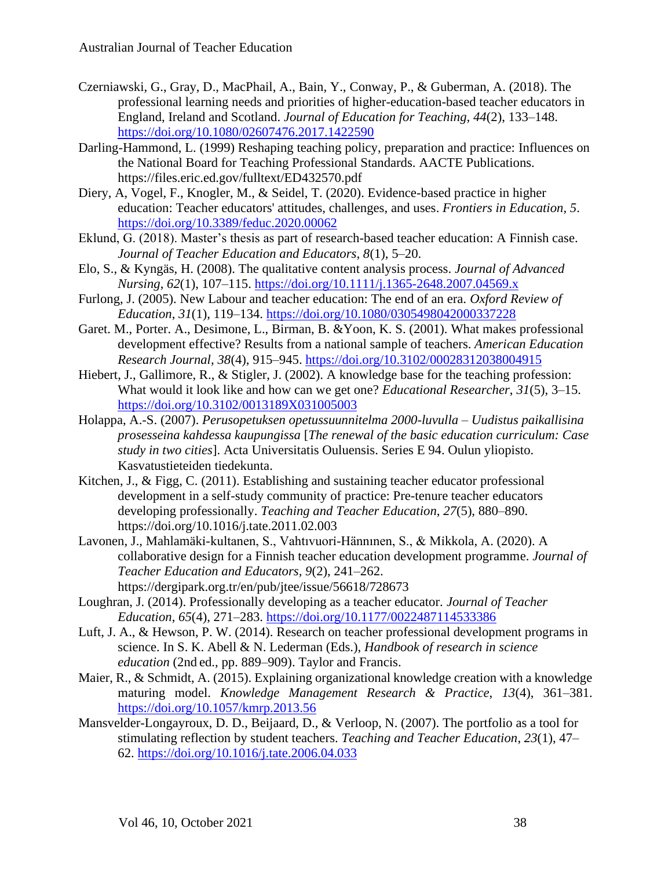- Czerniawski, G., Gray, D., MacPhail, A., Bain, Y., Conway, P., & Guberman, A. (2018). The professional learning needs and priorities of higher-education-based teacher educators in England, Ireland and Scotland. *Journal of Education for Teaching, 44*(2), 133–148. <https://doi.org/10.1080/02607476.2017.1422590>
- Darling-Hammond, L. (1999) Reshaping teaching policy, preparation and practice: Influences on the National Board for Teaching Professional Standards. AACTE Publications. https://files.eric.ed.gov/fulltext/ED432570.pdf
- Diery, A, Vogel, F., Knogler, M., & Seidel, T. (2020). Evidence-based practice in higher education: Teacher educators' attitudes, challenges, and uses. *Frontiers in Education, 5*. <https://doi.org/10.3389/feduc.2020.00062>
- Eklund, G. (2018). Master's thesis as part of research-based teacher education: A Finnish case. *Journal of Teacher Education and Educators, 8*(1), 5–20.
- Elo, S., & Kyngäs, H. (2008). The qualitative content analysis process. *Journal of Advanced Nursing*, *62*(1), 107–115.<https://doi.org/10.1111/j.1365-2648.2007.04569.x>
- Furlong, J. (2005). New Labour and teacher education: The end of an era. *Oxford Review of Education*, *31*(1), 119–134.<https://doi.org/10.1080/0305498042000337228>
- Garet. M., Porter. A., Desimone, L., Birman, B. &Yoon, K. S. (2001). What makes professional development effective? Results from a national sample of teachers. *American Education Research Journal*, *38*(4), 915–945.<https://doi.org/10.3102/00028312038004915>
- Hiebert, J., Gallimore, R., & Stigler, J. (2002). A knowledge base for the teaching profession: What would it look like and how can we get one? *Educational Researcher*, *31*(5), 3–15. <https://doi.org/10.3102/0013189X031005003>
- Holappa, A.-S. (2007). *Perusopetuksen opetussuunnitelma 2000-luvulla – Uudistus paikallisina prosesseina kahdessa kaupungissa* [*The renewal of the basic education curriculum: Case study in two cities*]. Acta Universitatis Ouluensis. Series E 94. Oulun yliopisto. Kasvatustieteiden tiedekunta.
- Kitchen, J., & Figg, C. (2011). Establishing and sustaining teacher educator professional development in a self-study community of practice: Pre-tenure teacher educators developing professionally. *Teaching and Teacher Education*, *27*(5), 880–890[.](https://doi.org/10.1016/j.tate.2011.02.003) https://doi.org/10.1016/j.tate.2011.02.003
- Lavonen, J., Mahlamäki̇-kultanen, S., Vahtivuori̇-Hänninen, S., & Mi̇kkola, A. (2020). A collaborative design for a Finnish teacher education development programme. *Journal of Teacher Education and Educators, 9*(2), 241–262. https://dergipark.org.tr/en/pub/jtee/issue/56618/728673
- Loughran, J. (2014). Professionally developing as a teacher educator. *Journal of Teacher Education*, *65*(4), 271–283.<https://doi.org/10.1177/0022487114533386>
- Luft, J. A., & Hewson, P. W. (2014). Research on teacher professional development programs in science. In S. K. Abell & N. Lederman (Eds.), *Handbook of research in science education* (2nd ed., pp. 889–909). Taylor and Francis.
- Maier, R., & Schmidt, A. (2015). Explaining organizational knowledge creation with a knowledge maturing model. *[Knowledge Management Research & Practice](http://paperpile.com/b/fF6bGr/ZKR3)*[,](file:///C:/Users/lavonen/Tutkimus/opettajankoulutusfoorumi%20TUTKIMUS/,) *[13](http://paperpile.com/b/fF6bGr/ZKR3)*(4), 361–381. <https://doi.org/10.1057/kmrp.2013.56>
- Mansvelder-Longayroux, D. D., Beijaard, D., & Verloop, N. (2007). The portfolio as a tool for stimulating reflection by student teachers. *Teaching and Teacher Education*, *23*(1), 47– 62.<https://doi.org/10.1016/j.tate.2006.04.033>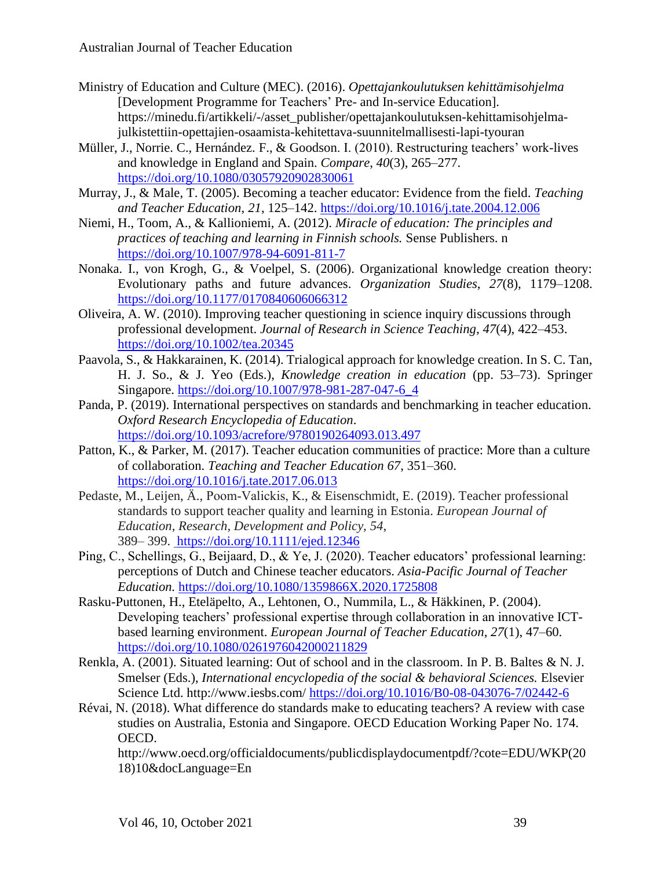- Ministry of Education and Culture (MEC). (2016). *Opettajankoulutuksen kehittämisohjelma* [Development Programme for Teachers' Pre- and In-service Education]. https://minedu.fi/artikkeli/-/asset\_publisher/opettajankoulutuksen-kehittamisohjelmajulkistettiin-opettajien-osaamista-kehitettava-suunnitelmallisesti-lapi-tyouran
- Müller, J., Norrie. C., Hernández. F., & Goodson. I. (2010). Restructuring teachers' work-lives and knowledge in England and Spain. *Compare*, *40*(3), 265–277. <https://doi.org/10.1080/03057920902830061>
- Murray, J., & Male, T. (2005). Becoming a teacher educator: Evidence from the field. *Teaching and Teacher Education*, *21*, 125–142.<https://doi.org/10.1016/j.tate.2004.12.006>
- Niemi, H., Toom, A., & Kallioniemi, A. (2012). *Miracle of education: The principles and practices of teaching and learning in Finnish schools.* Sense Publishers. n <https://doi.org/10.1007/978-94-6091-811-7>
- Nonaka. I., von Krogh, G., & Voelpel, S. (2006). Organizational knowledge creation theory: Evolutionary paths and future advances. *[Organization Studies](http://paperpile.com/b/fF6bGr/Oa6E)*[,](http://paperpile.com/b/fF6bGr/Oa6E) *[27](http://paperpile.com/b/fF6bGr/Oa6E)*(8), 1179–1208. <https://doi.org/10.1177/0170840606066312>
- Oliveira, A. W. (2010). Improving teacher questioning in science inquiry discussions through professional development. *Journal of Research in Science Teaching*, *47*(4), 422–453. <https://doi.org/10.1002/tea.20345>
- Paavola, S., & Hakkarainen, K. (2014). Trialogical approach for knowledge creation. In S. C. Tan, H. J. So., & J. Yeo (Eds.), *Knowledge creation in education* (pp. 53–73). Springer Singapore. [https://doi.org/10.1007/978-981-287-047-6\\_4](https://doi.org/10.1007/978-981-287-047-6_4)
- Panda, P. (2019). International perspectives on standards and benchmarking in teacher education. *Oxford Research Encyclopedia of Education*. <https://doi.org/10.1093/acrefore/9780190264093.013.497>
- Patton, K., & Parker, M. (2017). Teacher education communities of practice: More than a culture of collaboration. *Teaching and Teacher Education 67*, 351–360. <https://doi.org/10.1016/j.tate.2017.06.013>
- Pedaste, M., Leijen, Ä., Poom‐Valickis, K., & Eisenschmidt, E. (2019). Teacher professional standards to support teacher quality and learning in Estonia. *European Journal of Education, Research, Development and Policy, 54*, 389– 399. <https://doi.org/10.1111/ejed.12346>
- Ping, C., Schellings, G., Beijaard, D., & Ye, J. (2020). Teacher educators' professional learning: perceptions of Dutch and Chinese teacher educators. *Asia-Pacific Journal of Teacher Education.* <https://doi.org/10.1080/1359866X.2020.1725808>
- Rasku-Puttonen, H., Eteläpelto, A., Lehtonen, O., Nummila, L., & Häkkinen, P. (2004). Developing teachers' professional expertise through collaboration in an innovative ICTbased learning environment. *European Journal of Teacher Education*, *27*(1), 47–60. <https://doi.org/10.1080/0261976042000211829>
- Renk[la,](http://www.sciencedirect.com/science?_ob=ArticleURL&_udi=&_xRefDocId=isb305126.sgm&_user=949111&_fmt=full&_orig=na&_cdi=7110&view=c&_acct=C000049116&_version=1&_urlVersion=0&_userid=949111&md5=0e58bfd2da4cba33a0c6939c2bce9065#aff1) A. (2001). Situated learning: Out of school and in the classroom. In P. B. Baltes & N. J. Smelser (Eds.), *International encyclopedia of the social & behavioral Sciences.* Elsevier Science Ltd. http://www.iesbs.com/<https://doi.org/10.1016/B0-08-043076-7/02442-6>
- Révai, N. (2018). What difference do standards make to educating teachers? A review with case studies on Australia, Estonia and Singapore. OECD Education Working Paper No. 174. OECD.

http://www.oecd.org/officialdocuments/publicdisplaydocumentpdf/?cote=EDU/WKP(20 18)10&docLanguage=En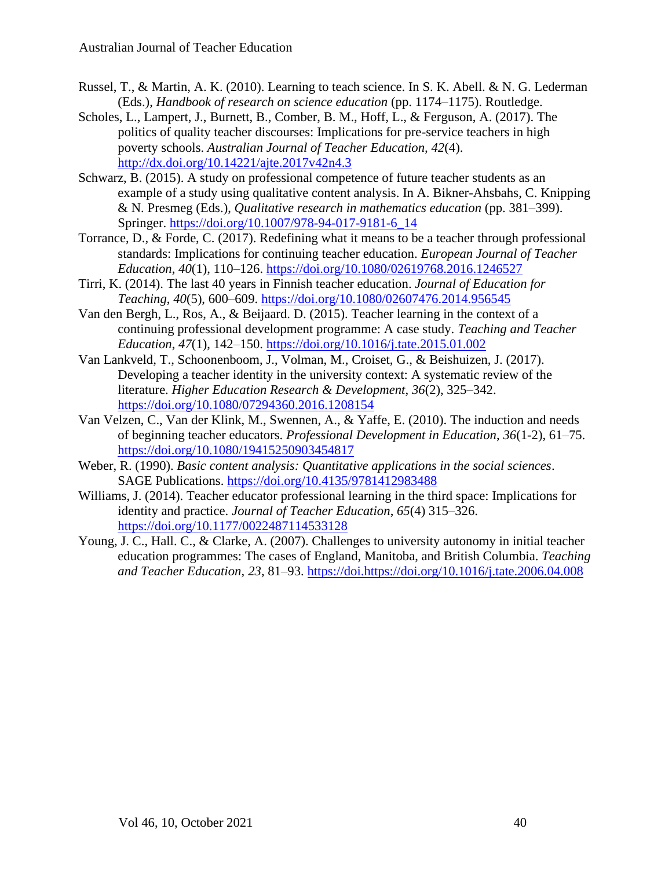- Russel, T., & Martin, A. K. (2010). Learning to teach science. In S. K. Abell. & N. G. Lederman (Eds.), *Handbook of research on science education* (pp. 1174–1175). Routledge.
- Scholes, L., Lampert, J., Burnett, B., Comber, B. M., Hoff, L., & Ferguson, A. (2017). The politics of quality teacher discourses: Implications for pre-service teachers in high poverty schools. *Australian Journal of Teacher Education, 42*(4). <http://dx.doi.org/10.14221/ajte.2017v42n4.3>
- Schwarz, B. (2015). A study on professional competence of future teacher students as an example of a study using qualitative content analysis. In A. Bikner-Ahsbahs, C. Knipping & N. Presmeg (Eds.), *Qualitative research in mathematics education* (pp. 381–399). Springer. [https://doi.org/10.1007/978-94-017-9181-6\\_14](https://doi.org/10.1007/978-94-017-9181-6_14)
- Torrance, D., & Forde, C. (2017). Redefining what it means to be a teacher through professional standards: Implications for continuing teacher education. *European Journal of Teacher Education, 40*(1), 110–126.<https://doi.org/10.1080/02619768.2016.1246527>
- Tirri, K. (2014). The last 40 years in Finnish teacher education. *Journal of Education for Teaching*, *40*(5), 600–609.<https://doi.org/10.1080/02607476.2014.956545>
- Van den Bergh, L., Ros, A., & Beijaard. D. (2015). Teacher learning in the context of a continuing professional development programme: A case study. *Teaching and Teacher Education*, *47*(1), 142–150.<https://doi.org/10.1016/j.tate.2015.01.002>
- Van Lankveld, T., Schoonenboom, J., Volman, M., Croiset, G., & Beishuizen, J. (2017). Developing a teacher identity in the university context: A systematic review of the literature. *Higher Education Research & Development*, *36*(2), 325–342. <https://doi.org/10.1080/07294360.2016.1208154>
- Van Velzen, C., Van der Klink, M., Swennen, A., & Yaffe, E. (2010). The induction and needs of beginning teacher educators. *Professional Development in Education*, *36*(1-2), 61–75. <https://doi.org/10.1080/19415250903454817>
- Weber, R. (1990). *Basic content analysis: Quantitative applications in the social sciences*. SAGE Publications. <https://doi.org/10.4135/9781412983488>
- Williams, J. (2014). Teacher educator professional learning in the third space: Implications for identity and practice. *Journal of Teacher Education*, *65*(4) 315–326. <https://doi.org/10.1177/0022487114533128>
- Young, J. C., Hall. C., & Clarke, A. (2007). Challenges to university autonomy in initial teacher education programmes: The cases of England, Manitoba, and British Columbia. *Teaching and Teacher Education*, *23*, 81–93. [https://doi.https://doi.org/10.1016/j.tate.2006.04.008](https://doi.https/doi.org/10.1016/j.tate.2006.04.008)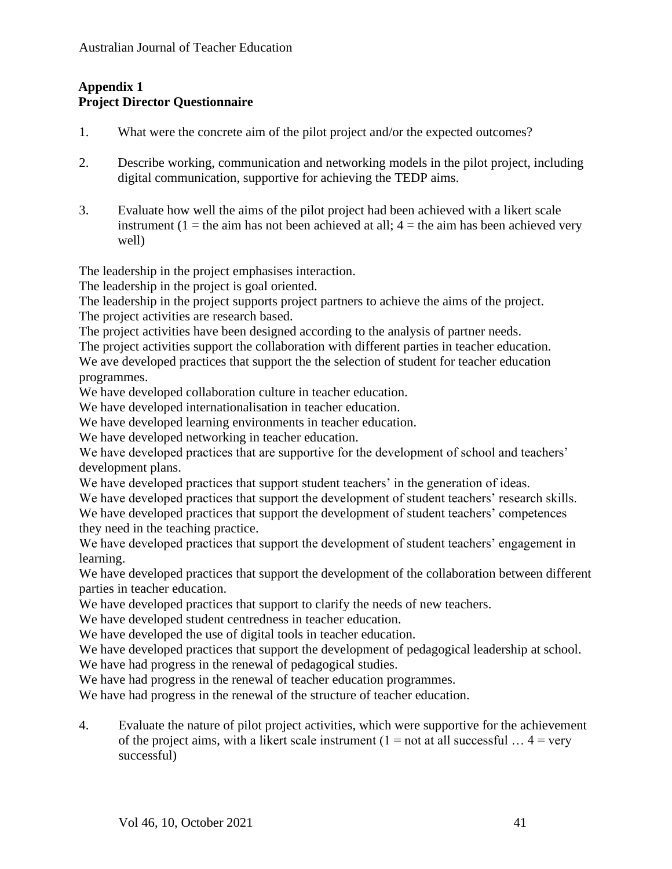## **Appendix 1 Project Director Questionnaire**

- 1. What were the concrete aim of the pilot project and/or the expected outcomes?
- 2. Describe working, communication and networking models in the pilot project, including digital communication, supportive for achieving the TEDP aims.
- 3. Evaluate how well the aims of the pilot project had been achieved with a likert scale instrument (1 = the aim has not been achieved at all;  $4 =$  the aim has been achieved very well)

The leadership in the project emphasises interaction.

The leadership in the project is goal oriented.

The leadership in the project supports project partners to achieve the aims of the project. The project activities are research based.

The project activities have been designed according to the analysis of partner needs.

The project activities support the collaboration with different parties in teacher education. We ave developed practices that support the the selection of student for teacher education programmes.

We have developed collaboration culture in teacher education.

We have developed internationalisation in teacher education.

We have developed learning environments in teacher education.

We have developed networking in teacher education.

We have developed practices that are supportive for the development of school and teachers' development plans.

We have developed practices that support student teachers' in the generation of ideas.

We have developed practices that support the development of student teachers' research skills.

We have developed practices that support the development of student teachers' competences they need in the teaching practice.

We have developed practices that support the development of student teachers' engagement in learning.

We have developed practices that support the development of the collaboration between different parties in teacher education.

We have developed practices that support to clarify the needs of new teachers.

We have developed student centredness in teacher education.

We have developed the use of digital tools in teacher education.

We have developed practices that support the development of pedagogical leadership at school.

We have had progress in the renewal of pedagogical studies.

We have had progress in the renewal of teacher education programmes.

We have had progress in the renewal of the structure of teacher education.

4. Evaluate the nature of pilot project activities, which were supportive for the achievement of the project aims, with a likert scale instrument ( $1 = not$  at all successful ...  $4 = very$ successful)